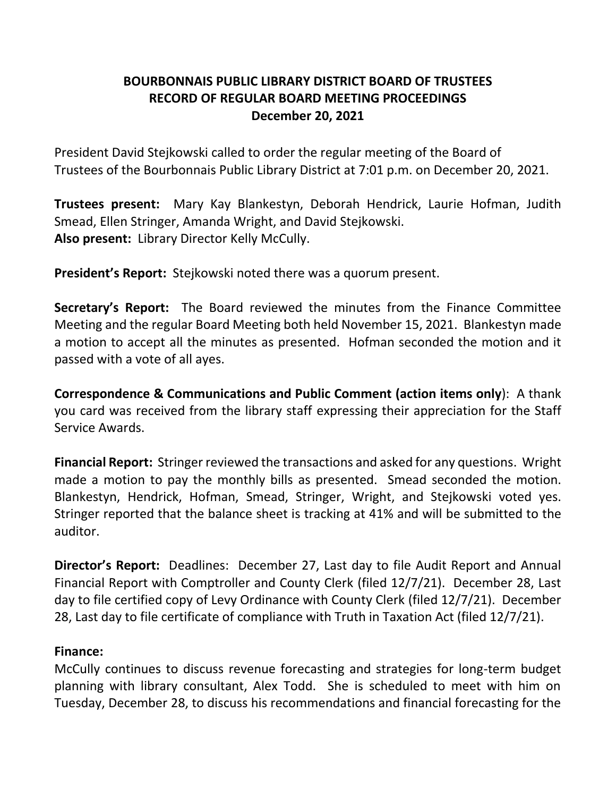# **BOURBONNAIS PUBLIC LIBRARY DISTRICT BOARD OF TRUSTEES RECORD OF REGULAR BOARD MEETING PROCEEDINGS December 20, 2021**

President David Stejkowski called to order the regular meeting of the Board of Trustees of the Bourbonnais Public Library District at 7:01 p.m. on December 20, 2021.

**Trustees present:** Mary Kay Blankestyn, Deborah Hendrick, Laurie Hofman, Judith Smead, Ellen Stringer, Amanda Wright, and David Stejkowski. **Also present:** Library Director Kelly McCully.

**President's Report:** Stejkowski noted there was a quorum present.

**Secretary's Report:** The Board reviewed the minutes from the Finance Committee Meeting and the regular Board Meeting both held November 15, 2021. Blankestyn made a motion to accept all the minutes as presented. Hofman seconded the motion and it passed with a vote of all ayes.

**Correspondence & Communications and Public Comment (action items only**): A thank you card was received from the library staff expressing their appreciation for the Staff Service Awards.

**Financial Report:** Stringer reviewed the transactions and asked for any questions. Wright made a motion to pay the monthly bills as presented. Smead seconded the motion. Blankestyn, Hendrick, Hofman, Smead, Stringer, Wright, and Stejkowski voted yes. Stringer reported that the balance sheet is tracking at 41% and will be submitted to the auditor.

**Director's Report:** Deadlines: December 27, Last day to file Audit Report and Annual Financial Report with Comptroller and County Clerk (filed 12/7/21). December 28, Last day to file certified copy of Levy Ordinance with County Clerk (filed 12/7/21). December 28, Last day to file certificate of compliance with Truth in Taxation Act (filed 12/7/21).

### **Finance:**

McCully continues to discuss revenue forecasting and strategies for long-term budget planning with library consultant, Alex Todd. She is scheduled to meet with him on Tuesday, December 28, to discuss his recommendations and financial forecasting for the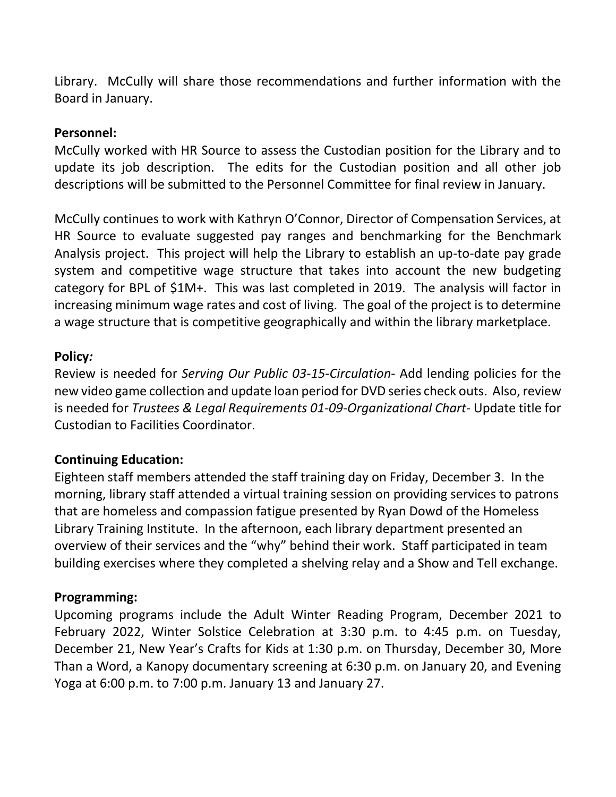Library. McCully will share those recommendations and further information with the Board in January.

## **Personnel:**

McCully worked with HR Source to assess the Custodian position for the Library and to update its job description. The edits for the Custodian position and all other job descriptions will be submitted to the Personnel Committee for final review in January.

McCully continues to work with Kathryn O'Connor, Director of Compensation Services, at HR Source to evaluate suggested pay ranges and benchmarking for the Benchmark Analysis project. This project will help the Library to establish an up-to-date pay grade system and competitive wage structure that takes into account the new budgeting category for BPL of \$1M+. This was last completed in 2019. The analysis will factor in increasing minimum wage rates and cost of living. The goal of the project is to determine a wage structure that is competitive geographically and within the library marketplace.

### **Policy***:*

Review is needed for *Serving Our Public 03-15-Circulation*- Add lending policies for the new video game collection and update loan period for DVD series check outs. Also, review is needed for *Trustees & Legal Requirements 01-09-Organizational Chart*- Update title for Custodian to Facilities Coordinator.

# **Continuing Education:**

Eighteen staff members attended the staff training day on Friday, December 3. In the morning, library staff attended a virtual training session on providing services to patrons that are homeless and compassion fatigue presented by Ryan Dowd of the Homeless Library Training Institute. In the afternoon, each library department presented an overview of their services and the "why" behind their work. Staff participated in team building exercises where they completed a shelving relay and a Show and Tell exchange.

### **Programming:**

Upcoming programs include the Adult Winter Reading Program, December 2021 to February 2022, Winter Solstice Celebration at 3:30 p.m. to 4:45 p.m. on Tuesday, December 21, New Year's Crafts for Kids at 1:30 p.m. on Thursday, December 30, More Than a Word, a Kanopy documentary screening at 6:30 p.m. on January 20, and Evening Yoga at 6:00 p.m. to 7:00 p.m. January 13 and January 27.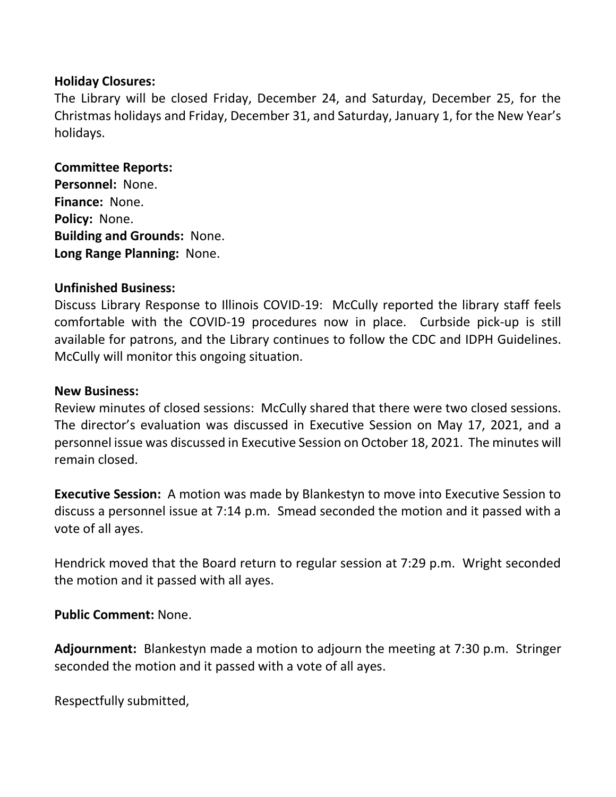## **Holiday Closures:**

The Library will be closed Friday, December 24, and Saturday, December 25, for the Christmas holidays and Friday, December 31, and Saturday, January 1, for the New Year's holidays.

#### **Committee Reports:**

**Personnel:** None. **Finance:** None. **Policy:** None. **Building and Grounds:** None. **Long Range Planning:** None.

### **Unfinished Business:**

Discuss Library Response to Illinois COVID-19: McCully reported the library staff feels comfortable with the COVID-19 procedures now in place. Curbside pick-up is still available for patrons, and the Library continues to follow the CDC and IDPH Guidelines. McCully will monitor this ongoing situation.

#### **New Business:**

Review minutes of closed sessions: McCully shared that there were two closed sessions. The director's evaluation was discussed in Executive Session on May 17, 2021, and a personnel issue was discussed in Executive Session on October 18, 2021. The minutes will remain closed.

**Executive Session:** A motion was made by Blankestyn to move into Executive Session to discuss a personnel issue at 7:14 p.m. Smead seconded the motion and it passed with a vote of all ayes.

Hendrick moved that the Board return to regular session at 7:29 p.m. Wright seconded the motion and it passed with all ayes.

**Public Comment:** None.

**Adjournment:** Blankestyn made a motion to adjourn the meeting at 7:30 p.m. Stringer seconded the motion and it passed with a vote of all ayes.

Respectfully submitted,